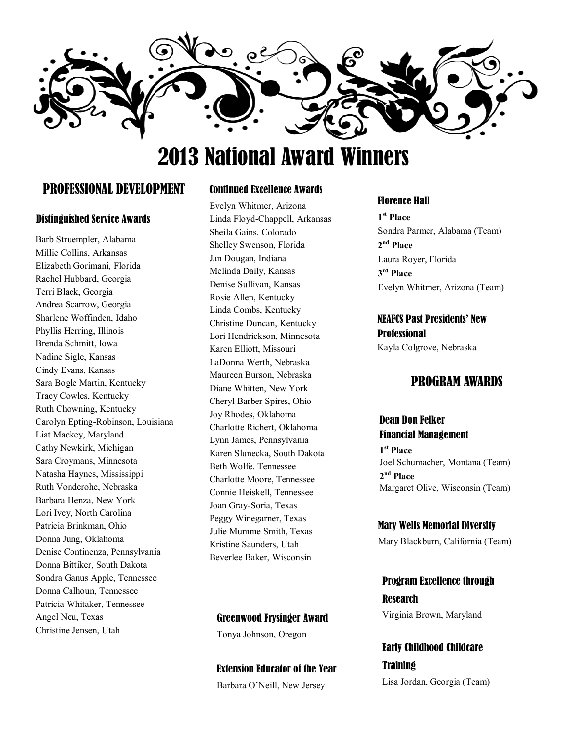

# 2013 National Award Winners

# PROFESSIONAL DEVELOPMENT

#### Distinguished Service Awards

Barb Struempler, Alabama Millie Collins, Arkansas Elizabeth Gorimani, Florida Rachel Hubbard, Georgia Terri Black, Georgia Andrea Scarrow, Georgia Sharlene Woffinden, Idaho Phyllis Herring, Illinois Brenda Schmitt, Iowa Nadine Sigle, Kansas Cindy Evans, Kansas Sara Bogle Martin, Kentucky Tracy Cowles, Kentucky Ruth Chowning, Kentucky Carolyn Epting-Robinson, Louisiana Liat Mackey, Maryland Cathy Newkirk, Michigan Sara Croymans, Minnesota Natasha Haynes, Mississippi Ruth Vonderohe, Nebraska Barbara Henza, New York Lori Ivey, North Carolina Patricia Brinkman, Ohio Donna Jung, Oklahoma Denise Continenza, Pennsylvania Donna Bittiker, South Dakota Sondra Ganus Apple, Tennessee Donna Calhoun, Tennessee Patricia Whitaker, Tennessee Angel Neu, Texas Christine Jensen, Utah

#### Continued Excellence Awards

Evelyn Whitmer, Arizona Linda Floyd-Chappell, Arkansas Sheila Gains, Colorado Shelley Swenson, Florida Jan Dougan, Indiana Melinda Daily, Kansas Denise Sullivan, Kansas Rosie Allen, Kentucky Linda Combs, Kentucky Christine Duncan, Kentucky Lori Hendrickson, Minnesota Karen Elliott, Missouri LaDonna Werth, Nebraska Maureen Burson, Nebraska Diane Whitten, New York Cheryl Barber Spires, Ohio Joy Rhodes, Oklahoma Charlotte Richert, Oklahoma Lynn James, Pennsylvania Karen Slunecka, South Dakota Beth Wolfe, Tennessee Charlotte Moore, Tennessee Connie Heiskell, Tennessee Joan Gray-Soria, Texas Peggy Winegarner, Texas Julie Mumme Smith, Texas Kristine Saunders, Utah Beverlee Baker, Wisconsin

#### Greenwood Frysinger Award

Tonya Johnson, Oregon

# Extension Educator of the Year

Barbara O'Neill, New Jersey

#### Florence Hall

**1 st Place**  Sondra Parmer, Alabama (Team) **2 nd Place**  Laura Royer, Florida **3 rd Place**  Evelyn Whitmer, Arizona (Team)

# NEAFCS Past Presidents' New **Professional**

Kayla Colgrove, Nebraska

# PROGRAM AWARDS

#### Dean Don Felker Financial Management

**1 st Place**  Joel Schumacher, Montana (Team) **2 nd Place** Margaret Olive, Wisconsin (Team)

#### Mary Wells Memorial Diversity

Mary Blackburn, California (Team)

# Program Excellence through **Research**

Virginia Brown, Maryland

# Early Childhood Childcare **Training**

Lisa Jordan, Georgia (Team)